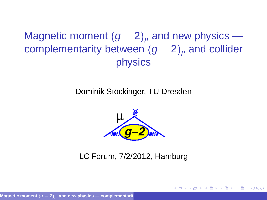Magnetic moment  $(g - 2)$ <sub>u</sub> and new physics complementarity between  $(g - 2)_u$  and collider physics

#### Dominik Stöckinger, TU Dresden



#### <span id="page-0-0"></span>LC Forum, 7/2/2012, Hamburg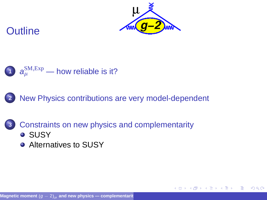

 $\Omega$ 





**2** [New Physics contributions are very model-dependent](#page-4-0)

**3** [Constraints on new physics and complementarity](#page-9-0) **• [SUSY](#page-9-0)** 

● [Alternatives to SUSY](#page-11-0)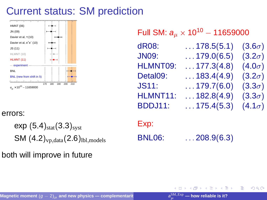

#### errors:

 $exp(5.4)_{stat}(3.3)_{syst}$  $SM (4.2)_{\rm vp, data} (2.6)_{\rm lb1, models}$ 

both will improve in future

### Full SM:  $\boldsymbol{a}_{\mu}\times$  10 $^{10}$  – 11659000

| dR08:        | $\ldots$ 178.5(5.1) | $(3.6\sigma)$ |
|--------------|---------------------|---------------|
| <b>JN09:</b> | $\ldots$ 179.0(6.5) | $(3.2\sigma)$ |
| HLMNT09:     | $\ldots$ 177.3(4.8) | $(4.0\sigma)$ |
| Detal09:     | $\ldots$ 183.4(4.9) | $(3.2\sigma)$ |
| <b>JS11:</b> | $\ldots$ 179.7(6.0) | $(3.3\sigma)$ |
| HLMNT11:     | $\ldots$ 182.8(4.9) | $(3.3\sigma)$ |
| BDDJ11:      | $\ldots$ 175.4(5.3) | $(4.1\sigma)$ |

Exp:

BNL06: ...208.9(6.3)

<span id="page-2-0"></span>∍

 $QQ$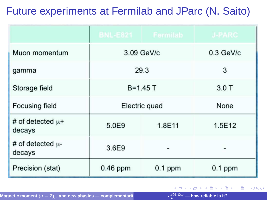# Future experiments at Fermilab and JParc (N. Saito)

|                                 |               | BNL-E821   Fermilab | <b>J-PARC</b> |
|---------------------------------|---------------|---------------------|---------------|
| Muon momentum                   | 3.09 GeV/c    |                     | $0.3$ GeV/c   |
| gamma                           | 29.3          |                     | 3             |
| Storage field                   | $B = 1.45T$   |                     | 3.0T          |
| Focusing field                  | Electric quad |                     | None          |
| # of detected $\mu$ +<br>decays | 5.0E9         | 1.8E11              | 1.5E12        |
| # of detected $\mu$ -<br>decays | 3.6E9         |                     |               |
| Precision (stat)                | $0.46$ ppm    | $0.1$ ppm           | $0.1$ ppm     |

→ 重

∍

 $299$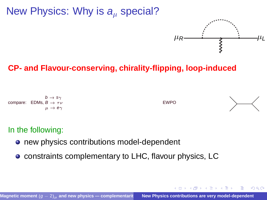### New Physics: Why is  $a<sub>u</sub>$  special?



<span id="page-4-0"></span> $\left\{ \bigcap_{i=1}^{n} x_i \in \mathbb{R} \right\}$ 

 $\Omega$ 

#### **CP- and Flavour-conserving, chirality-flipping, loop-induced**



#### In the following:

- **•** new physics contributions model-dependent
- constraints complementary to LHC, flavour physics, LC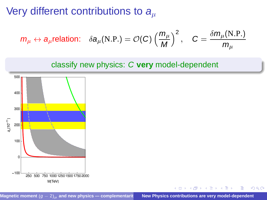# Very different contributions to  $a_\mu$

$$
m_{\mu} \leftrightarrow a_{\mu}
$$
 relation:  $\delta a_{\mu}(N.P.) = \mathcal{O}(C) \left(\frac{m_{\mu}}{M}\right)^2$ ,  $C = \frac{\delta m_{\mu}(N.P.)}{m_{\mu}}$ 





 $299$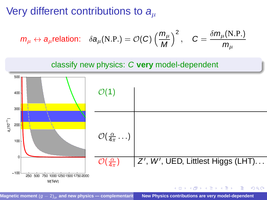# Very different contributions to  $a<sub>u</sub>$

$$
m_{\mu} \leftrightarrow a_{\mu}
$$
 relation:  $\delta a_{\mu}(N.P.) = \mathcal{O}(C) \left(\frac{m_{\mu}}{M}\right)^2$ ,  $C = \frac{\delta m_{\mu}(N.P.)}{m_{\mu}}$ 



Magnetic moment  $(g - 2)_u$  and new physics — complementarit **New Physics contributions are very model-dependent**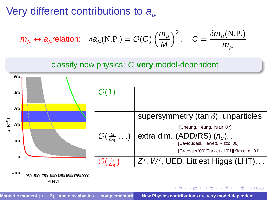# Very different contributions to  $a<sub>u</sub>$

$$
m_{\mu} \leftrightarrow a_{\mu}
$$
 relation:  $\delta a_{\mu}(N.P.) = \mathcal{O}(C) \left(\frac{m_{\mu}}{M}\right)^2$ ,  $C = \frac{\delta m_{\mu}(N.P.)}{m_{\mu}}$ 

#### classify new physics: C **very** model-dependent

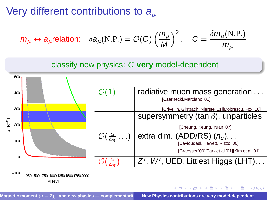# Very different contributions to  $a_{\mu}$

$$
m_{\mu} \leftrightarrow a_{\mu}
$$
 relation:  $\delta a_{\mu}(N.P.) = \mathcal{O}(C) \left(\frac{m_{\mu}}{M}\right)^2$ ,  $C = \frac{\delta m_{\mu}(N.P.)}{m_{\mu}}$ 





Magnetic moment  $(g - 2)_{\mu}$  and new physics — complementarit **New Physics contributions are very model-dependent**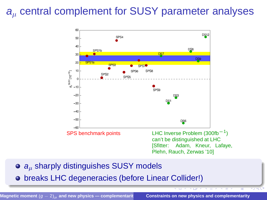## $a<sub>u</sub>$  central complement for SUSY parameter analyses



- $\bullet$   $a<sub>u</sub>$  sharply distinguishes SUSY models
- breaks LHC degeneracies (before Linear Collider!)

Magnetic moment  $(g - 2)_{\mu}$  and new physics — complementarit **Constraints on new physics and complementarity** 

<span id="page-9-0"></span>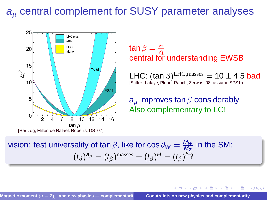### $a<sub>u</sub>$  central complement for SUSY parameter analyses



 $\tan \beta = \frac{v_2}{v_1}$ central for understanding EWSB

 ${\sf LHC}\!:\!({\sf tan}\,\beta)^{{\rm LHC},\text{masses}}=10\pm4.5$   ${\sf bad}$  [Sfitter: Lafaye, Plehn, Rauch, Zerwas '08, assume SPS1a]

 $\left\{ \bigcap \mathbb{R}^n : A \ni A \ni A \ni A \ni B \right\}$ 

 $\Omega$ 

 $a_{\mu}$  improves tan  $\beta$  considerably Also complementary to LC!

vision: test universality of tan  $\beta$ , like for  $\cos\theta_W=\frac{M_W}{M_Z}$  in the SM:  $(t_\beta)^{\mathsf{a}_\mu} = (t_\beta)^{\text{masses}} = (t_\beta)^{\mathsf{H}} = (t_\beta)^{\mathsf{b}}$ ?

Magnetic moment  $(g - 2)_{\mu}$  and new physics — complementarit **Constraints on new physics and complementarity**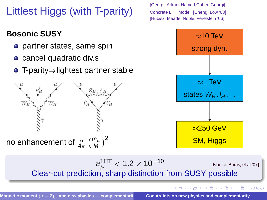Littlest Higgs (with T-parity)

### **Bosonic SUSY**

- **o** partner states, same spin
- cancel quadratic div.s
- $\bullet$  T-parity $\Rightarrow$ lightest partner stable



[Georgi; Arkani-Hamed,Cohen,Georgi] Concrete LHT model: [Cheng, Low '03] [Hubisz, Meade, Noble, Perelstein '06]



 $\bm{a}_{\mu}^{\mathrm{LHT}} <$  1.2  $\times$  10<sup>10</sup> [Blanke, Buras, et al '07] Clear-cut prediction, sharp distinction from SUSY possible

Magnetic moment  $(g - 2)_{\mu}$  and new physics — complementarit **Constraints on new physics and complementarity** 

イロト イ押 トイヨ トイヨト

<span id="page-11-0"></span>舌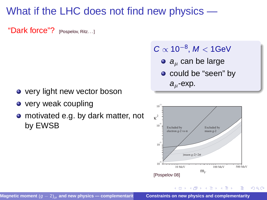# What if the LHC does not find new physics —

"Dark force"? [Pospelov, Ritz...]

- very light new vector boson
- very weak coupling
- motivated e.g. by dark matter, not by EWSB

#### $C \propto 10^{-8}$ ,  $M < 1$ GeV

- $\bullet$  a<sub>u</sub> can be large
- o could be "seen" by  $a_{\mu}$ -exp.



 $\leftarrow$   $\overline{m}$   $\rightarrow$ 

 $\rightarrow$   $\pm$   $\rightarrow$   $\rightarrow$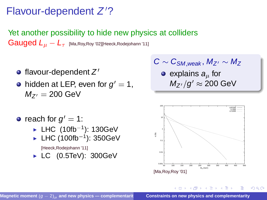# Flavour-dependent Z'?

Yet another possibility to hide new physics at colliders Gauged  $L_{\mu} - L_{\tau}$  [Ma,Roy,Roy '02][Heeck,Rodejohann '11]

- flavour-dependent  $Z^\prime$
- hidden at LEP, even for  $g^\prime=$  1,  $M_{Z'} = 200$  GeV

$$
C\sim C_{\text{SM},\text{weak}},\,M_{Z'}\sim M_Z
$$

 $\bullet$  explains  $a_{\mu}$  for  $M_{Z^{\prime}}/g^{\prime}\approx 200$  GeV

- reach for  $g' = 1$ :
	- $\blacktriangleright$  LHC (10fb $^{-1}$ ): 130GeV
	- $\blacktriangleright$  LHC (100fb $^{-1}$ ): 350GeV
		- [Heeck,Rodejohann '11]
	- $\blacktriangleright$  LC (0.5TeV): 300GeV



 $\mathcal{A} \cap \mathcal{B} \rightarrow \mathcal{A}$  . If  $\mathcal{B} \rightarrow \mathcal{A}$  ,  $\mathcal{B}$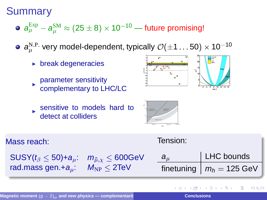### **Summary**

- $\bm{a}^{\textrm{Exp}}_{\mu}-\bm{a}^{\textrm{SM}}_{\mu}\approx (25\pm8)\times10^{-10}$  future promising!
- $\bm{a}_{\mu}^{\text{N.P.}}$  very model-dependent, typically  $\mathcal{O}(\pm 1 \ldots 50) \times 10^{-10}$ 
	- $\triangleright$  break degeneracies
	- parameter sensitivity complementary to LHC/LC
- 



sensitive to models hard to detect at colliders



| Mass reach:                                                                         | Tension:  |                                         |
|-------------------------------------------------------------------------------------|-----------|-----------------------------------------|
| $\text{SUSY}(t_\beta \leq 50) + a_\mu$ : $m_{\tilde{\mu},\chi} \leq 600 \text{GeV}$ | $a_{\mu}$ | LHC bounds                              |
| rad.mass gen.+ $a_{\mu}$ : $M_{NP} \leq 2 \text{TeV}$                               |           | finetuning $\mid m_h = 125 \text{ GeV}$ |
|                                                                                     |           |                                         |

**REPARE**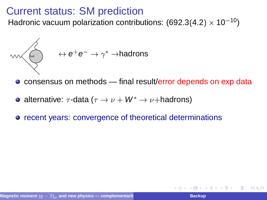Hadronic vacuum polarization contributions: (692.3(4.2)  $\times$  10<sup>-10</sup>)

$$
\begin{picture}(150,10) \put(0,0){\line(1,0){10}} \put(15,0){\line(1,0){10}} \put(15,0){\line(1,0){10}} \put(15,0){\line(1,0){10}} \put(15,0){\line(1,0){10}} \put(15,0){\line(1,0){10}} \put(15,0){\line(1,0){10}} \put(15,0){\line(1,0){10}} \put(15,0){\line(1,0){10}} \put(15,0){\line(1,0){10}} \put(15,0){\line(1,0){10}} \put(15,0){\line(1,0){10}} \put(15,0){\line(1,0){10}} \put(15,0){\line(1,0){10}} \put(15,0){\line(1,0){10}} \put(15,0){\line(1,0){10}} \put(15,0){\line(1,0){10}} \put(15,0){\line(1,0){10}} \put(15,0){\line(1,0){10}} \put(15,0){\line(1,0){10}} \put(15,0){\line(1,0){10}} \put(15,0){\line(1,0){10}} \put(15,0){\line(1,0){10}} \put(15,0){\line(1,0){10}} \put(15,0){\line(1,0){10}} \put(15,0){\line(1,0){10}} \put(15,0){\line(1,0){10}} \put(15,0){\line(1,0){10}} \put(15,0){\line(1,0){10}} \put(15,0){\line(1,0){10}} \put(15,0){\line(1,0){10}} \put(15,0){\line(1,0){10}} \put(15,0){\line(1,0){10}} \put(15,0){\line(1,0){10}} \put(15,0){\line(1,0){10}} \put(15,0){\line(1,0){10}} \put(15,0){\line(1,0){10}} \put(15,0){\line(1,0){10}} \put(15,0){\line(1,0){10}} \put(15,0){\line(1,0){10}} \put(15,0){\line(1,0){10}} \put(15,0){\line(
$$

● consensus on methods — final result/error depends on exp data

- alternative:  $\tau$ -data ( $\tau \rightarrow \nu + W^* \rightarrow \nu +$ hadrons)
- **•** recent years: convergence of theoretical determinations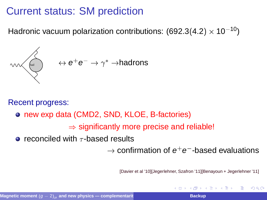Hadronic vacuum polarization contributions: (692.3(4.2)  $\times$  10<sup>-10</sup>)

$$
\begin{picture}(150,10) \put(0,0){\vector(1,0){180}} \put(15,0){\vector(1,0){180}} \put(15,0){\vector(1,0){180}} \put(15,0){\vector(1,0){180}} \put(15,0){\vector(1,0){180}} \put(15,0){\vector(1,0){180}} \put(15,0){\vector(1,0){180}} \put(15,0){\vector(1,0){180}} \put(15,0){\vector(1,0){180}} \put(15,0){\vector(1,0){180}} \put(15,0){\vector(1,0){180}} \put(15,0){\vector(1,0){180}} \put(15,0){\vector(1,0){180}} \put(15,0){\vector(1,0){180}} \put(15,0){\vector(1,0){180}} \put(15,0){\vector(1,0){180}} \put(15,0){\vector(1,0){180}} \put(15,0){\vector(1,0){180}} \put(15,0){\vector(1,0){180}} \put(15,0){\vector(1,0){180}} \put(15,0){\vector(1,0){180}} \put(15,0){\vector(1,0){180}} \put(15,0){\vector(1,0){180}} \put(15,0){\vector(1,0){180}} \put(15,0){\vector(1,0){180}} \put(15,0){\vector(1,0){180}} \put(15,0){\vector(1,0){180}} \put(15,0){\vector(1,0){180}} \put(15,0){\vector(1,0){180}} \put(15,0){\vector(1,0){180}} \put(15,0){\vector(1,0){180}} \put(15,0){\vector(1,0){180}} \put(15,0){\vector(1,0){180}} \put(15,0){\vector(1,0){180}} \put(15,0){\vector(1,0){180}} \put(15,0){\vector(1,0){180}} \put(15,0){\vector(1,0){180}} \put(15,0){\vector(1,0){180}} \put(15,0){\vector(1,0){180}} \put(15,0){
$$

Recent progress:

● new exp data (CMD2, SND, KLOE, B-factories)

 $\Rightarrow$  significantly more precise and reliable!

 $\bullet$  reconciled with  $\tau$ -based results

 $\rightarrow$  confirmation of  $e^+e^-$ -based evaluations

[Davier et al '10][Jegerlehner, Szafron '11][Benayoun + Jegerlehner '11]

( 何 ) ( ヨ ) ( ヨ )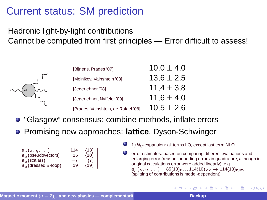#### Hadronic light-by-light contributions Cannot be computed from first principles — Error difficult to assess!



| [Bijnens, Prades '07]               | $10.0 + 4.0$   |
|-------------------------------------|----------------|
| [Melnikov, Vainshtein '03]          | $13.6 \pm 2.5$ |
| [Jegerlehner '08]                   | $11.4 + 3.8$   |
| [Jegerlehner, Nyffeler '09]         | 11.6 $\pm$ 4.0 |
| [Prades, Vainshtein, de Rafael '08] | $10.5 \pm 2.6$ |

- "Glasgow" consensus: combine methods, inflate errors
- Promising new approaches: **lattice**, Dyson-Schwinger

| $a_\mu(\pi, \eta, \ldots)$      | 114   | (13) |
|---------------------------------|-------|------|
| $a_{\mu}$ (pseudovectors)       | 15    | (10) |
| $a_{\mu}$ (scalars)             | $-7$  | (7)  |
| $a_{\mu}$ (dressed $\pi$ -loop) | $-19$ | (19) |

 $1/N_C$ -expansion: all terms LO, except last term NLO

error estimates: based on comparing different evaluations and enlarging error (reason for adding errors in quadrature, although in original calculations error were added linearly), e.g.  $a_{\mu}(\pi, \eta, \ldots) = 85(13)_{BPP}$ , 114(10)<sub>MV</sub>  $\rightarrow$  114(13)<sub>PdRV</sub> (splitting of contributions is model-dependent)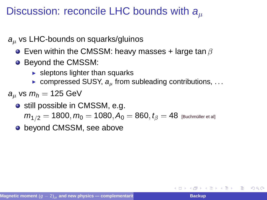### Discussion: reconcile LHC bounds with  $a<sub>u</sub>$

- $a<sub>u</sub>$  vs LHC-bounds on squarks/gluinos
	- $\bullet$  Even within the CMSSM: heavy masses + large tan  $\beta$
	- Beyond the CMSSM:
		- $\blacktriangleright$  sleptons lighter than squarks
		- $\triangleright$  compressed SUSY,  $a_{\mu}$  from subleading contributions, ...
- $a_{\mu}$  vs  $m_h = 125$  GeV
	- still possible in CMSSM, e.g.  $m_{1/2} = 1800, m_0 = 1080, A_0 = 860, t_\beta = 48$  [Buchmüller et al]
	- beyond CMSSM, see above

化三氯化物